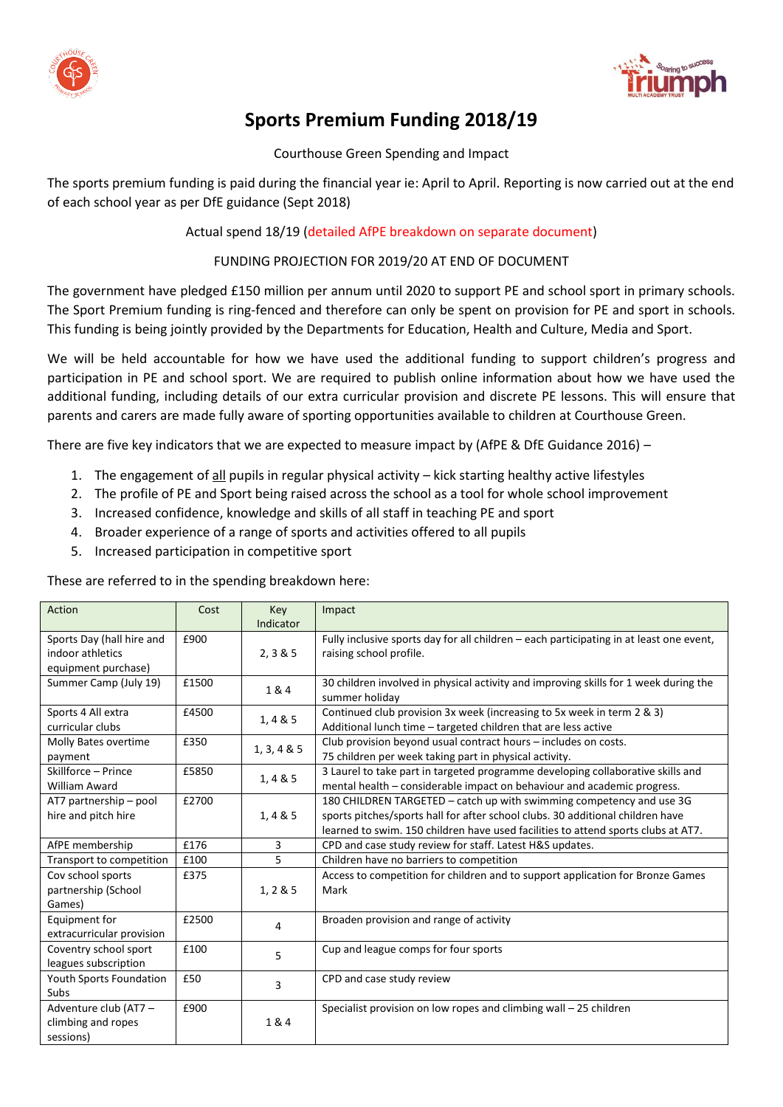



# **Sports Premium Funding 2018/19**

## Courthouse Green Spending and Impact

The sports premium funding is paid during the financial year ie: April to April. Reporting is now carried out at the end of each school year as per DfE guidance (Sept 2018)

## Actual spend 18/19 (detailed AfPE breakdown on separate document)

## FUNDING PROJECTION FOR 2019/20 AT END OF DOCUMENT

The government have pledged £150 million per annum until 2020 to support PE and school sport in primary schools. The Sport Premium funding is ring-fenced and therefore can only be spent on provision for PE and sport in schools. This funding is being jointly provided by the Departments for Education, Health and Culture, Media and Sport.

We will be held accountable for how we have used the additional funding to support children's progress and participation in PE and school sport. We are required to publish online information about how we have used the additional funding, including details of our extra curricular provision and discrete PE lessons. This will ensure that parents and carers are made fully aware of sporting opportunities available to children at Courthouse Green.

There are five key indicators that we are expected to measure impact by (AfPE & DfE Guidance 2016) –

- 1. The engagement of all pupils in regular physical activity kick starting healthy active lifestyles
- 2. The profile of PE and Sport being raised across the school as a tool for whole school improvement
- 3. Increased confidence, knowledge and skills of all staff in teaching PE and sport
- 4. Broader experience of a range of sports and activities offered to all pupils
- 5. Increased participation in competitive sport

These are referred to in the spending breakdown here:

| Action                    | Cost  | Key         | Impact                                                                                                 |  |
|---------------------------|-------|-------------|--------------------------------------------------------------------------------------------------------|--|
|                           |       | Indicator   |                                                                                                        |  |
| Sports Day (hall hire and | £900  |             | Fully inclusive sports day for all children - each participating in at least one event,                |  |
| indoor athletics          |       | 2, 3 & 5    | raising school profile.                                                                                |  |
| equipment purchase)       |       |             |                                                                                                        |  |
| Summer Camp (July 19)     | £1500 | 1&4         | 30 children involved in physical activity and improving skills for 1 week during the<br>summer holiday |  |
| Sports 4 All extra        | £4500 | 1, 4 & 5    | Continued club provision 3x week (increasing to 5x week in term 2 & 3)                                 |  |
| curricular clubs          |       |             | Additional lunch time - targeted children that are less active                                         |  |
| Molly Bates overtime      | £350  | 1, 3, 4 & 5 | Club provision beyond usual contract hours - includes on costs.                                        |  |
| payment                   |       |             | 75 children per week taking part in physical activity.                                                 |  |
| Skillforce - Prince       | £5850 | 1,4 & 5     | 3 Laurel to take part in targeted programme developing collaborative skills and                        |  |
| <b>William Award</b>      |       |             | mental health - considerable impact on behaviour and academic progress.                                |  |
| AT7 partnership - pool    | £2700 |             | 180 CHILDREN TARGETED - catch up with swimming competency and use 3G                                   |  |
| hire and pitch hire       |       | 1, 4 & 5    | sports pitches/sports hall for after school clubs. 30 additional children have                         |  |
|                           |       |             | learned to swim. 150 children have used facilities to attend sports clubs at AT7.                      |  |
| AfPE membership           | £176  | 3           | CPD and case study review for staff. Latest H&S updates.                                               |  |
| Transport to competition  | £100  | 5           | Children have no barriers to competition                                                               |  |
| Cov school sports         | £375  |             | Access to competition for children and to support application for Bronze Games                         |  |
| partnership (School       |       | 1, 285      | Mark                                                                                                   |  |
| Games)                    |       |             |                                                                                                        |  |
| Equipment for             | £2500 | 4           | Broaden provision and range of activity                                                                |  |
| extracurricular provision |       |             |                                                                                                        |  |
| Coventry school sport     | £100  | 5.          | Cup and league comps for four sports                                                                   |  |
| leagues subscription      |       |             |                                                                                                        |  |
| Youth Sports Foundation   | £50   |             | CPD and case study review                                                                              |  |
| Subs                      |       | 3           |                                                                                                        |  |
| Adventure club (AT7 -     | £900  |             | Specialist provision on low ropes and climbing wall - 25 children                                      |  |
| climbing and ropes        |       | 1&4         |                                                                                                        |  |
| sessions)                 |       |             |                                                                                                        |  |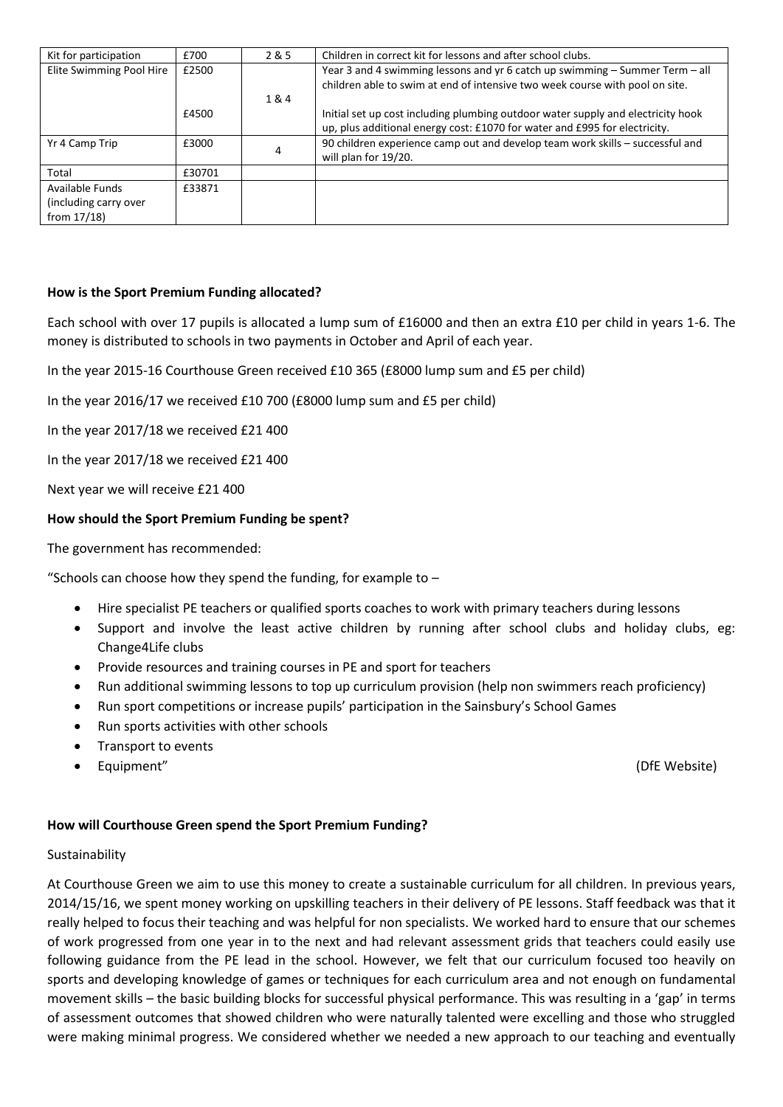| Kit for participation    | £700   | 2 & 5 | Children in correct kit for lessons and after school clubs.                      |
|--------------------------|--------|-------|----------------------------------------------------------------------------------|
| Elite Swimming Pool Hire | £2500  |       | Year 3 and 4 swimming lessons and yr 6 catch up swimming - Summer Term - all     |
|                          |        |       | children able to swim at end of intensive two week course with pool on site.     |
|                          |        | 1&4   |                                                                                  |
|                          | £4500  |       | Initial set up cost including plumbing outdoor water supply and electricity hook |
|                          |        |       | up, plus additional energy cost: £1070 for water and £995 for electricity.       |
| Yr 4 Camp Trip           | £3000  |       | 90 children experience camp out and develop team work skills - successful and    |
|                          |        |       | will plan for 19/20.                                                             |
| Total                    | £30701 |       |                                                                                  |
| Available Funds          | £33871 |       |                                                                                  |
| (including carry over    |        |       |                                                                                  |
| from 17/18)              |        |       |                                                                                  |

### **How is the Sport Premium Funding allocated?**

Each school with over 17 pupils is allocated a lump sum of £16000 and then an extra £10 per child in years 1-6. The money is distributed to schools in two payments in October and April of each year.

In the year 2015-16 Courthouse Green received £10 365 (£8000 lump sum and £5 per child)

In the year 2016/17 we received £10 700 (£8000 lump sum and £5 per child)

In the year 2017/18 we received £21 400

In the year 2017/18 we received £21 400

Next year we will receive £21 400

#### **How should the Sport Premium Funding be spent?**

The government has recommended:

"Schools can choose how they spend the funding, for example to  $-$ 

- Hire specialist PE teachers or qualified sports coaches to work with primary teachers during lessons
- Support and involve the least active children by running after school clubs and holiday clubs, eg: Change4Life clubs
- Provide resources and training courses in PE and sport for teachers
- Run additional swimming lessons to top up curriculum provision (help non swimmers reach proficiency)
- Run sport competitions or increase pupils' participation in the Sainsbury's School Games
- Run sports activities with other schools
- Transport to events
- Equipment" (DfE Website)

#### **How will Courthouse Green spend the Sport Premium Funding?**

#### Sustainability

At Courthouse Green we aim to use this money to create a sustainable curriculum for all children. In previous years, 2014/15/16, we spent money working on upskilling teachers in their delivery of PE lessons. Staff feedback was that it really helped to focus their teaching and was helpful for non specialists. We worked hard to ensure that our schemes of work progressed from one year in to the next and had relevant assessment grids that teachers could easily use following guidance from the PE lead in the school. However, we felt that our curriculum focused too heavily on sports and developing knowledge of games or techniques for each curriculum area and not enough on fundamental movement skills – the basic building blocks for successful physical performance. This was resulting in a 'gap' in terms of assessment outcomes that showed children who were naturally talented were excelling and those who struggled were making minimal progress. We considered whether we needed a new approach to our teaching and eventually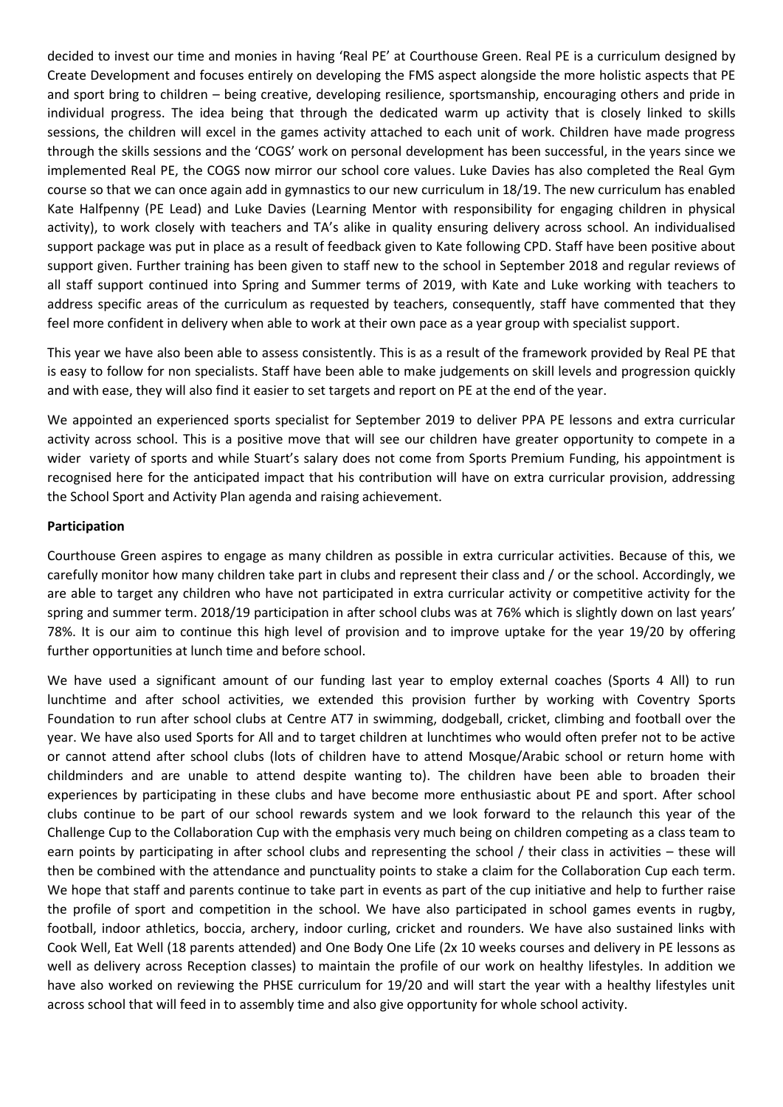decided to invest our time and monies in having 'Real PE' at Courthouse Green. Real PE is a curriculum designed by Create Development and focuses entirely on developing the FMS aspect alongside the more holistic aspects that PE and sport bring to children – being creative, developing resilience, sportsmanship, encouraging others and pride in individual progress. The idea being that through the dedicated warm up activity that is closely linked to skills sessions, the children will excel in the games activity attached to each unit of work. Children have made progress through the skills sessions and the 'COGS' work on personal development has been successful, in the years since we implemented Real PE, the COGS now mirror our school core values. Luke Davies has also completed the Real Gym course so that we can once again add in gymnastics to our new curriculum in 18/19. The new curriculum has enabled Kate Halfpenny (PE Lead) and Luke Davies (Learning Mentor with responsibility for engaging children in physical activity), to work closely with teachers and TA's alike in quality ensuring delivery across school. An individualised support package was put in place as a result of feedback given to Kate following CPD. Staff have been positive about support given. Further training has been given to staff new to the school in September 2018 and regular reviews of all staff support continued into Spring and Summer terms of 2019, with Kate and Luke working with teachers to address specific areas of the curriculum as requested by teachers, consequently, staff have commented that they feel more confident in delivery when able to work at their own pace as a year group with specialist support.

This year we have also been able to assess consistently. This is as a result of the framework provided by Real PE that is easy to follow for non specialists. Staff have been able to make judgements on skill levels and progression quickly and with ease, they will also find it easier to set targets and report on PE at the end of the year.

We appointed an experienced sports specialist for September 2019 to deliver PPA PE lessons and extra curricular activity across school. This is a positive move that will see our children have greater opportunity to compete in a wider variety of sports and while Stuart's salary does not come from Sports Premium Funding, his appointment is recognised here for the anticipated impact that his contribution will have on extra curricular provision, addressing the School Sport and Activity Plan agenda and raising achievement.

#### **Participation**

Courthouse Green aspires to engage as many children as possible in extra curricular activities. Because of this, we carefully monitor how many children take part in clubs and represent their class and / or the school. Accordingly, we are able to target any children who have not participated in extra curricular activity or competitive activity for the spring and summer term. 2018/19 participation in after school clubs was at 76% which is slightly down on last years' 78%. It is our aim to continue this high level of provision and to improve uptake for the year 19/20 by offering further opportunities at lunch time and before school.

We have used a significant amount of our funding last year to employ external coaches (Sports 4 All) to run lunchtime and after school activities, we extended this provision further by working with Coventry Sports Foundation to run after school clubs at Centre AT7 in swimming, dodgeball, cricket, climbing and football over the year. We have also used Sports for All and to target children at lunchtimes who would often prefer not to be active or cannot attend after school clubs (lots of children have to attend Mosque/Arabic school or return home with childminders and are unable to attend despite wanting to). The children have been able to broaden their experiences by participating in these clubs and have become more enthusiastic about PE and sport. After school clubs continue to be part of our school rewards system and we look forward to the relaunch this year of the Challenge Cup to the Collaboration Cup with the emphasis very much being on children competing as a class team to earn points by participating in after school clubs and representing the school / their class in activities – these will then be combined with the attendance and punctuality points to stake a claim for the Collaboration Cup each term. We hope that staff and parents continue to take part in events as part of the cup initiative and help to further raise the profile of sport and competition in the school. We have also participated in school games events in rugby, football, indoor athletics, boccia, archery, indoor curling, cricket and rounders. We have also sustained links with Cook Well, Eat Well (18 parents attended) and One Body One Life (2x 10 weeks courses and delivery in PE lessons as well as delivery across Reception classes) to maintain the profile of our work on healthy lifestyles. In addition we have also worked on reviewing the PHSE curriculum for 19/20 and will start the year with a healthy lifestyles unit across school that will feed in to assembly time and also give opportunity for whole school activity.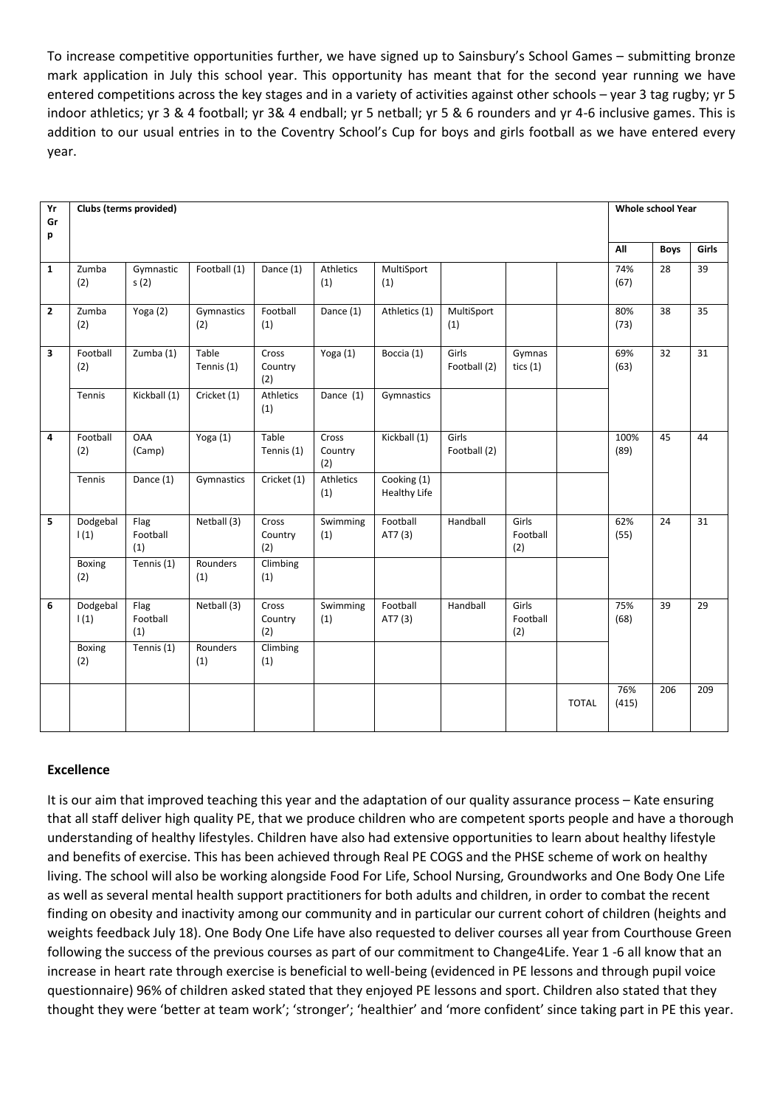To increase competitive opportunities further, we have signed up to Sainsbury's School Games – submitting bronze mark application in July this school year. This opportunity has meant that for the second year running we have entered competitions across the key stages and in a variety of activities against other schools – year 3 tag rugby; yr 5 indoor athletics; yr 3 & 4 football; yr 3& 4 endball; yr 5 netball; yr 5 & 6 rounders and yr 4-6 inclusive games. This is addition to our usual entries in to the Coventry School's Cup for boys and girls football as we have entered every year.

| Yr<br>Gr       |                      | Clubs (terms provided)           |                     |                         |                         |                                    |                       |                          |              | <b>Whole school Year</b> |             |       |
|----------------|----------------------|----------------------------------|---------------------|-------------------------|-------------------------|------------------------------------|-----------------------|--------------------------|--------------|--------------------------|-------------|-------|
| p              |                      |                                  |                     |                         |                         |                                    |                       |                          |              | All                      | <b>Boys</b> | Girls |
| $\mathbf{1}$   | Zumba<br>(2)         | Gymnastic<br>s(2)                | Football (1)        | Dance (1)               | Athletics<br>(1)        | MultiSport<br>(1)                  |                       |                          |              | 74%<br>(67)              | 28          | 39    |
| $\overline{2}$ | Zumba<br>(2)         | Yoga (2)                         | Gymnastics<br>(2)   | Football<br>(1)         | Dance (1)               | Athletics (1)                      | MultiSport<br>(1)     |                          |              | 80%<br>(73)              | 38          | 35    |
| 3              | Football<br>(2)      | Zumba (1)                        | Table<br>Tennis (1) | Cross<br>Country<br>(2) | Yoga (1)                | Boccia (1)                         | Girls<br>Football (2) | Gymnas<br>tics $(1)$     |              | 69%<br>(63)              | 32          | 31    |
|                | Tennis               | $\overline{\text{Kickball}}$ (1) | Cricket (1)         | Athletics<br>(1)        | Dance (1)               | Gymnastics                         |                       |                          |              |                          |             |       |
| 4              | Football<br>(2)      | <b>OAA</b><br>(Camp)             | Yoga (1)            | Table<br>Tennis (1)     | Cross<br>Country<br>(2) | Kickball (1)                       | Girls<br>Football (2) |                          |              | 100%<br>(89)             | 45          | 44    |
|                | Tennis               | Dance (1)                        | Gymnastics          | Cricket (1)             | Athletics<br>(1)        | Cooking (1)<br><b>Healthy Life</b> |                       |                          |              |                          |             |       |
| 5              | Dodgebal<br>1(1)     | Flag<br>Football<br>(1)          | Netball (3)         | Cross<br>Country<br>(2) | Swimming<br>(1)         | Football<br>AT7 (3)                | Handball              | Girls<br>Football<br>(2) |              | 62%<br>(55)              | 24          | 31    |
|                | Boxing<br>(2)        | Tennis (1)                       | Rounders<br>(1)     | Climbing<br>(1)         |                         |                                    |                       |                          |              |                          |             |       |
| 6              | Dodgebal<br>1(1)     | Flag<br>Football<br>(1)          | Netball (3)         | Cross<br>Country<br>(2) | Swimming<br>(1)         | Football<br>AT7 (3)                | Handball              | Girls<br>Football<br>(2) |              | 75%<br>(68)              | 39          | 29    |
|                | <b>Boxing</b><br>(2) | Tennis (1)                       | Rounders<br>(1)     | Climbing<br>(1)         |                         |                                    |                       |                          |              |                          |             |       |
|                |                      |                                  |                     |                         |                         |                                    |                       |                          | <b>TOTAL</b> | 76%<br>(415)             | 206         | 209   |

## **Excellence**

It is our aim that improved teaching this year and the adaptation of our quality assurance process – Kate ensuring that all staff deliver high quality PE, that we produce children who are competent sports people and have a thorough understanding of healthy lifestyles. Children have also had extensive opportunities to learn about healthy lifestyle and benefits of exercise. This has been achieved through Real PE COGS and the PHSE scheme of work on healthy living. The school will also be working alongside Food For Life, School Nursing, Groundworks and One Body One Life as well as several mental health support practitioners for both adults and children, in order to combat the recent finding on obesity and inactivity among our community and in particular our current cohort of children (heights and weights feedback July 18). One Body One Life have also requested to deliver courses all year from Courthouse Green following the success of the previous courses as part of our commitment to Change4Life. Year 1 -6 all know that an increase in heart rate through exercise is beneficial to well-being (evidenced in PE lessons and through pupil voice questionnaire) 96% of children asked stated that they enjoyed PE lessons and sport. Children also stated that they thought they were 'better at team work'; 'stronger'; 'healthier' and 'more confident' since taking part in PE this year.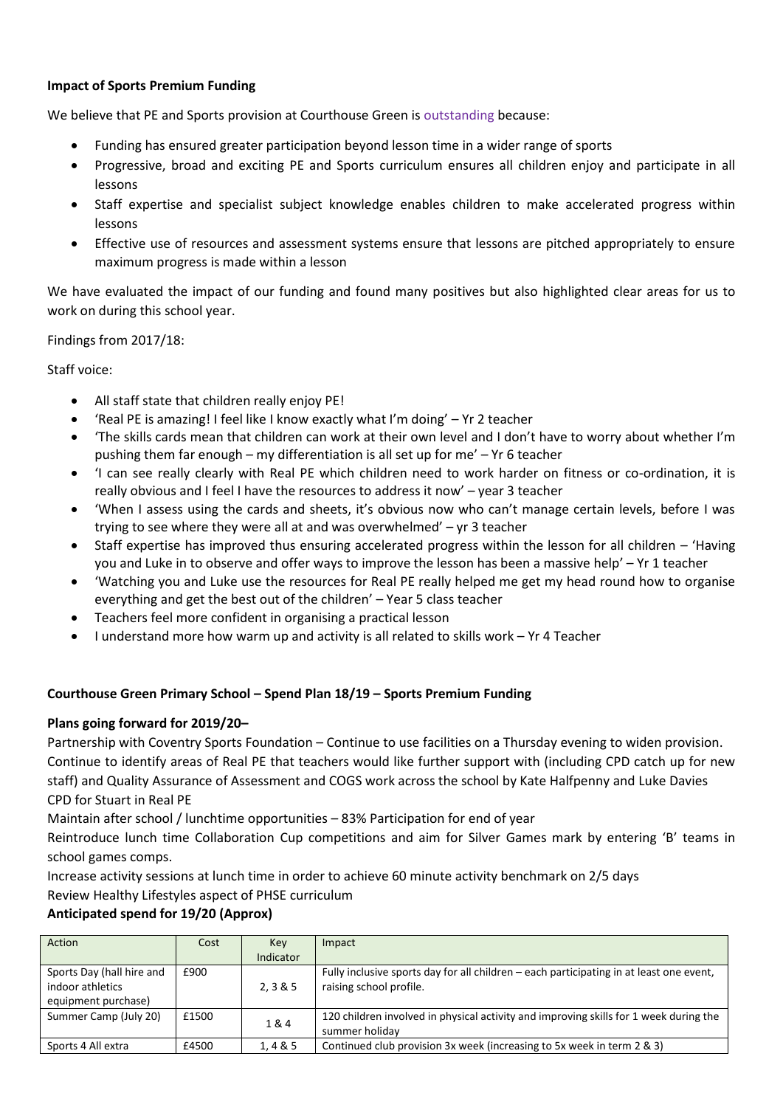## **Impact of Sports Premium Funding**

We believe that PE and Sports provision at Courthouse Green is outstanding because:

- Funding has ensured greater participation beyond lesson time in a wider range of sports
- Progressive, broad and exciting PE and Sports curriculum ensures all children enjoy and participate in all lessons
- Staff expertise and specialist subject knowledge enables children to make accelerated progress within lessons
- Effective use of resources and assessment systems ensure that lessons are pitched appropriately to ensure maximum progress is made within a lesson

We have evaluated the impact of our funding and found many positives but also highlighted clear areas for us to work on during this school year.

Findings from 2017/18:

Staff voice:

- All staff state that children really enjoy PE!
- 'Real PE is amazing! I feel like I know exactly what I'm doing' Yr 2 teacher
- 'The skills cards mean that children can work at their own level and I don't have to worry about whether I'm pushing them far enough – my differentiation is all set up for me' – Yr 6 teacher
- 'I can see really clearly with Real PE which children need to work harder on fitness or co-ordination, it is really obvious and I feel I have the resources to address it now' – year 3 teacher
- 'When I assess using the cards and sheets, it's obvious now who can't manage certain levels, before I was trying to see where they were all at and was overwhelmed' – yr 3 teacher
- Staff expertise has improved thus ensuring accelerated progress within the lesson for all children 'Having you and Luke in to observe and offer ways to improve the lesson has been a massive help' – Yr 1 teacher
- 'Watching you and Luke use the resources for Real PE really helped me get my head round how to organise everything and get the best out of the children' – Year 5 class teacher
- Teachers feel more confident in organising a practical lesson
- I understand more how warm up and activity is all related to skills work Yr 4 Teacher

## **Courthouse Green Primary School – Spend Plan 18/19 – Sports Premium Funding**

## **Plans going forward for 2019/20–**

Partnership with Coventry Sports Foundation – Continue to use facilities on a Thursday evening to widen provision. Continue to identify areas of Real PE that teachers would like further support with (including CPD catch up for new staff) and Quality Assurance of Assessment and COGS work across the school by Kate Halfpenny and Luke Davies CPD for Stuart in Real PE

Maintain after school / lunchtime opportunities – 83% Participation for end of year

Reintroduce lunch time Collaboration Cup competitions and aim for Silver Games mark by entering 'B' teams in school games comps.

Increase activity sessions at lunch time in order to achieve 60 minute activity benchmark on 2/5 days Review Healthy Lifestyles aspect of PHSE curriculum

## **Anticipated spend for 19/20 (Approx)**

| Action                                                               | Cost  | Key<br>Indicator | Impact                                                                                                             |
|----------------------------------------------------------------------|-------|------------------|--------------------------------------------------------------------------------------------------------------------|
| Sports Day (hall hire and<br>indoor athletics<br>equipment purchase) | £900  | 2.3&5            | Fully inclusive sports day for all children – each participating in at least one event,<br>raising school profile. |
| Summer Camp (July 20)                                                | £1500 | 1&4              | 120 children involved in physical activity and improving skills for 1 week during the<br>summer holiday            |
| Sports 4 All extra                                                   | £4500 | 1,4 & 5          | Continued club provision 3x week (increasing to 5x week in term 2 & 3)                                             |